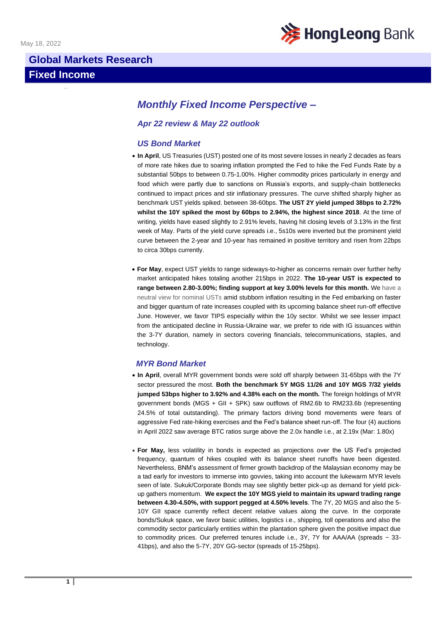

# **Global Markets Research Fixed Income**

# *Monthly Fixed Income Perspective –*

## *Apr 22 review & May 22 outlook*

### *US Bond Market*

- **In April**, US Treasuries (UST) posted one of its most severe losses in nearly 2 decades as fears of more rate hikes due to soaring inflation prompted the Fed to hike the Fed Funds Rate by a substantial 50bps to between 0.75-1.00%. Higher commodity prices particularly in energy and food which were partly due to sanctions on Russia's exports, and supply-chain bottlenecks continued to impact prices and stir inflationary pressures. The curve shifted sharply higher as benchmark UST yields spiked. between 38-60bps. **The UST 2Y yield jumped 38bps to 2.72% whilst the 10Y spiked the most by 60bps to 2.94%, the highest since 2018**. At the time of writing, yields have eased slightly to 2.91% levels, having hit closing levels of 3.13% in the first week of May. Parts of the yield curve spreads i.e., 5s10s were inverted but the prominent yield curve between the 2-year and 10-year has remained in positive territory and risen from 22bps to circa 30bps currently.
- **For May**, expect UST yields to range sideways-to-higher as concerns remain over further hefty market anticipated hikes totaling another 215bps in 2022. **The 10-year UST is expected to range between 2.80-3.00%; finding support at key 3.00% levels for this month.** We have a neutral view for nominal USTs amid stubborn inflation resulting in the Fed embarking on faster and bigger quantum of rate increases coupled with its upcoming balance sheet run-off effective June. However, we favor TIPS especially within the 10y sector. Whilst we see lesser impact from the anticipated decline in Russia-Ukraine war, we prefer to ride with IG issuances within the 3-7Y duration, namely in sectors covering financials, telecommunications, staples, and technology.

#### *MYR Bond Market*

- **In April**, overall MYR government bonds were sold off sharply between 31-65bps with the 7Y sector pressured the most. **Both the benchmark 5Y MGS 11/26 and 10Y MGS 7/32 yields jumped 53bps higher to 3.92% and 4.38% each on the month.** The foreign holdings of MYR government bonds (MGS + GII + SPK) saw outflows of RM2.6b to RM233.6b (representing 24.5% of total outstanding). The primary factors driving bond movements were fears of aggressive Fed rate-hiking exercises and the Fed's balance sheet run-off. The four (4) auctions in April 2022 saw average BTC ratios surge above the 2.0x handle i.e., at 2.19x (Mar: 1.80x)
- **For May,** less volatility in bonds is expected as projections over the US Fed's projected frequency, quantum of hikes coupled with its balance sheet runoffs have been digested. Nevertheless, BNM's assessment of firmer growth backdrop of the Malaysian economy may be a tad early for investors to immerse into govvies, taking into account the lukewarm MYR levels seen of late. Sukuk/Corporate Bonds may see slightly better pick-up as demand for yield pickup gathers momentum. **We expect the 10Y MGS yield to maintain its upward trading range between 4.30-4.50%, with support pegged at 4.50% levels**. The 7Y, 20 MGS and also the 5- 10Y GII space currently reflect decent relative values along the curve. In the corporate bonds/Sukuk space, we favor basic utilities, logistics i.e., shipping, toll operations and also the commodity sector particularly entities within the plantation sphere given the positive impact due to commodity prices. Our preferred tenures include i.e.,  $3Y$ ,  $7Y$  for AAA/AA (spreads  $\sim 33$ -41bps), and also the 5-7Y, 20Y GG-sector (spreads of 15-25bps).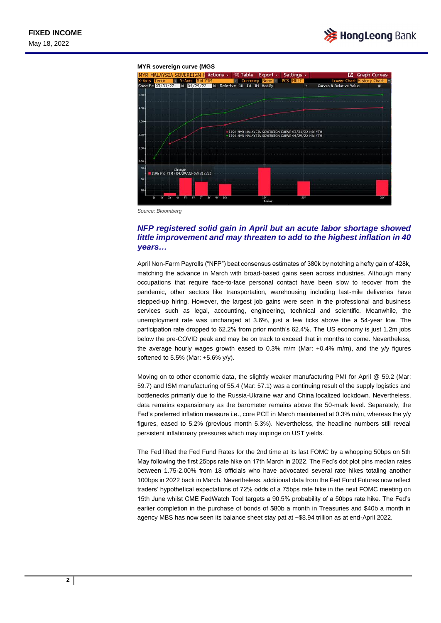

#### **MYR sovereign curve (MGS**



*Source: Bloomberg*

## *NFP registered solid gain in April but an acute labor shortage showed little improvement and may threaten to add to the highest inflation in 40 years…*

April Non-Farm Payrolls ("NFP") beat consensus estimates of 380k by notching a hefty gain of 428k, matching the advance in March with broad-based gains seen across industries. Although many occupations that require face-to-face personal contact have been slow to recover from the pandemic, other sectors like transportation, warehousing including last-mile deliveries have stepped-up hiring. However, the largest job gains were seen in the professional and business services such as legal, accounting, engineering, technical and scientific. Meanwhile, the unemployment rate was unchanged at 3.6%, just a few ticks above the a 54-year low. The participation rate dropped to 62.2% from prior month's 62.4%. The US economy is just 1.2m jobs below the pre-COVID peak and may be on track to exceed that in months to come. Nevertheless, the average hourly wages growth eased to 0.3% m/m (Mar: +0.4% m/m), and the y/y figures softened to 5.5% (Mar: +5.6% y/y).

Moving on to other economic data, the slightly weaker manufacturing PMI for April @ 59.2 (Mar: 59.7) and ISM manufacturing of 55.4 (Mar: 57.1) was a continuing result of the supply logistics and bottlenecks primarily due to the Russia-Ukraine war and China localized lockdown. Nevertheless, data remains expansionary as the barometer remains above the 50-mark level. Separately, the Fed's preferred inflation measure i.e., core PCE in March maintained at 0.3% m/m, whereas the y/y figures, eased to 5.2% (previous month 5.3%). Nevertheless, the headline numbers still reveal persistent inflationary pressures which may impinge on UST yields.

The Fed lifted the Fed Fund Rates for the 2nd time at its last FOMC by a whopping 50bps on 5th May following the first 25bps rate hike on 17th March in 2022. The Fed's dot plot pins median rates between 1.75-2.00% from 18 officials who have advocated several rate hikes totaling another 100bps in 2022 back in March. Nevertheless, additional data from the Fed Fund Futures now reflect traders' hypothetical expectations of 72% odds of a 75bps rate hike in the next FOMC meeting on 15th June whilst CME FedWatch Tool targets a 90.5% probability of a 50bps rate hike. The Fed's earlier completion in the purchase of bonds of \$80b a month in Treasuries and \$40b a month in agency MBS has now seen its balance sheet stay pat at ~\$8.94 trillion as at end-April 2022.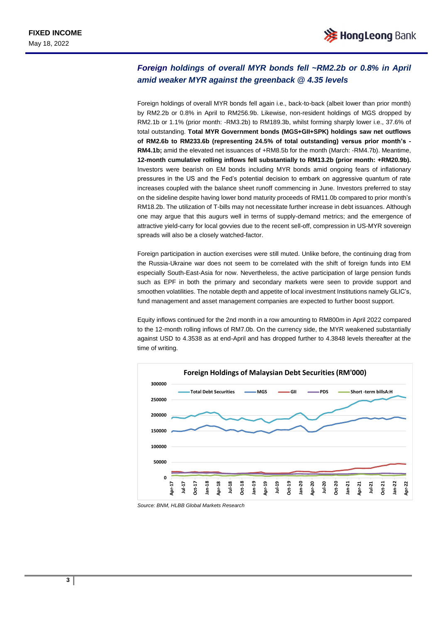# *Foreign holdings of overall MYR bonds fell ~RM2.2b or 0.8% in April amid weaker MYR against the greenback @ 4.35 levels*

Foreign holdings of overall MYR bonds fell again i.e., back-to-back (albeit lower than prior month) by RM2.2b or 0.8% in April to RM256.9b. Likewise, non-resident holdings of MGS dropped by RM2.1b or 1.1% (prior month: -RM3.2b) to RM189.3b, whilst forming sharply lower i.e., 37.6% of total outstanding. **Total MYR Government bonds (MGS+GII+SPK) holdings saw net outflows of RM2.6b to RM233.6b (representing 24.5% of total outstanding) versus prior month's - RM4.1b;** amid the elevated net issuances of +RM8.5b for the month (March: -RM4.7b). Meantime, **12-month cumulative rolling inflows fell substantially to RM13.2b (prior month: +RM20.9b).**  Investors were bearish on EM bonds including MYR bonds amid ongoing fears of inflationary pressures in the US and the Fed's potential decision to embark on aggressive quantum of rate increases coupled with the balance sheet runoff commencing in June. Investors preferred to stay on the sideline despite having lower bond maturity proceeds of RM11.0b compared to prior month's RM18.2b. The utilization of T-bills may not necessitate further increase in debt issuances. Although one may argue that this augurs well in terms of supply-demand metrics; and the emergence of attractive yield-carry for local govvies due to the recent sell-off, compression in US-MYR sovereign spreads will also be a closely watched-factor.

Foreign participation in auction exercises were still muted. Unlike before, the continuing drag from the Russia-Ukraine war does not seem to be correlated with the shift of foreign funds into EM especially South-East-Asia for now. Nevertheless, the active participation of large pension funds such as EPF in both the primary and secondary markets were seen to provide support and smoothen volatilities. The notable depth and appetite of local investment Institutions namely GLIC's, fund management and asset management companies are expected to further boost support.

Equity inflows continued for the 2nd month in a row amounting to RM800m in April 2022 compared to the 12-month rolling inflows of RM7.0b. On the currency side, the MYR weakened substantially against USD to 4.3538 as at end-April and has dropped further to 4.3848 levels thereafter at the time of writing.



*Source: BNM, HLBB Global Markets Research*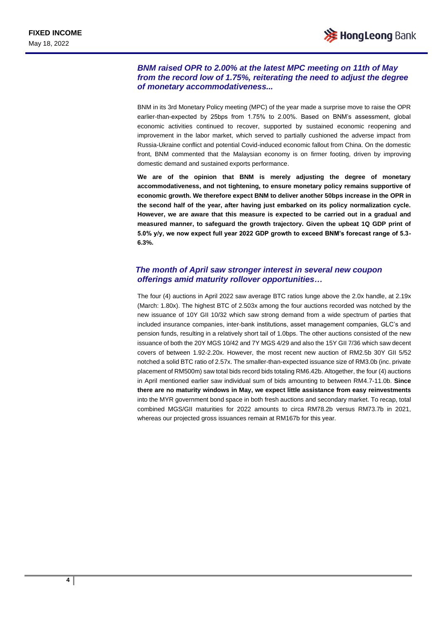## *BNM raised OPR to 2.00% at the latest MPC meeting on 11th of May from the record low of 1.75%, reiterating the need to adjust the degree of monetary accommodativeness...*

BNM in its 3rd Monetary Policy meeting (MPC) of the year made a surprise move to raise the OPR earlier-than-expected by 25bps from 1.75% to 2.00%. Based on BNM's assessment, global economic activities continued to recover, supported by sustained economic reopening and improvement in the labor market, which served to partially cushioned the adverse impact from Russia-Ukraine conflict and potential Covid-induced economic fallout from China. On the domestic front, BNM commented that the Malaysian economy is on firmer footing, driven by improving domestic demand and sustained exports performance.

**We are of the opinion that BNM is merely adjusting the degree of monetary accommodativeness, and not tightening, to ensure monetary policy remains supportive of economic growth. We therefore expect BNM to deliver another 50bps increase in the OPR in the second half of the year, after having just embarked on its policy normalization cycle. However, we are aware that this measure is expected to be carried out in a gradual and measured manner, to safeguard the growth trajectory. Given the upbeat 1Q GDP print of 5.0% y/y, we now expect full year 2022 GDP growth to exceed BNM's forecast range of 5.3- 6.3%.** 

## *The month of April saw stronger interest in several new coupon offerings amid maturity rollover opportunities…*

The four (4) auctions in April 2022 saw average BTC ratios lunge above the 2.0x handle, at 2.19x (March: 1.80x). The highest BTC of 2.503x among the four auctions recorded was notched by the new issuance of 10Y GII 10/32 which saw strong demand from a wide spectrum of parties that included insurance companies, inter-bank institutions, asset management companies, GLC's and pension funds, resulting in a relatively short tail of 1.0bps. The other auctions consisted of the new issuance of both the 20Y MGS 10/42 and 7Y MGS 4/29 and also the 15Y GII 7/36 which saw decent covers of between 1.92-2.20x. However, the most recent new auction of RM2.5b 30Y GII 5/52 notched a solid BTC ratio of 2.57x. The smaller-than-expected issuance size of RM3.0b (inc. private placement of RM500m) saw total bids record bids totaling RM6.42b. Altogether, the four (4) auctions in April mentioned earlier saw individual sum of bids amounting to between RM4.7-11.0b. **Since there are no maturity windows in May, we expect little assistance from easy reinvestments** into the MYR government bond space in both fresh auctions and secondary market. To recap, total combined MGS/GII maturities for 2022 amounts to circa RM78.2b versus RM73.7b in 2021, whereas our projected gross issuances remain at RM167b for this year.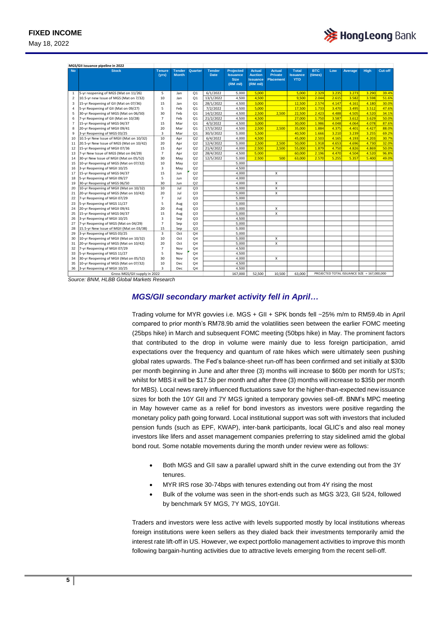

May 18, 2022

| MGS/GII issuance pipeline in 2022 |                                          |                         |               |                |               |                                |                                   |                                    |                               |            |       |                                             |       |         |
|-----------------------------------|------------------------------------------|-------------------------|---------------|----------------|---------------|--------------------------------|-----------------------------------|------------------------------------|-------------------------------|------------|-------|---------------------------------------------|-------|---------|
| <b>No</b>                         | <b>Stock</b>                             | <b>Tenure</b>           | <b>Tender</b> | Quarter        | <b>Tender</b> | <b>Projected</b>               | <b>Actual</b>                     | <b>Actual</b>                      | <b>Total</b>                  | <b>BTC</b> | Low   | Average                                     | High  | Cut-off |
|                                   |                                          | (vrs)                   | <b>Month</b>  |                | <b>Date</b>   | <b>Issuance</b><br><b>Size</b> | <b>Auction</b><br><b>Issuance</b> | <b>Private</b><br><b>Placement</b> | <b>Issuance</b><br><b>YTD</b> | (times)    |       |                                             |       |         |
|                                   |                                          |                         |               |                |               | (RM mil)                       | (RM mil)                          |                                    |                               |            |       |                                             |       |         |
|                                   |                                          |                         |               |                |               |                                |                                   |                                    |                               |            |       |                                             |       |         |
| $\mathbf{1}$                      | 5-yr reopening of MGS (Mat on 11/26)     | 5                       | Jan           | Q <sub>1</sub> | 6/1/2022      | 5.000                          | 5.000                             |                                    | 5.000                         | 2.329      | 3.235 | 3.273                                       | 3.290 | 39.4%   |
| $\overline{2}$                    | 10.5-yr new Issue of MGS (Mat on 7/32)   | 10                      | Jan           | Q <sub>1</sub> | 13/1/2022     | 4.500                          | 4.500                             |                                    | 9.500                         | 2.044      | 2.615 | 3.582                                       | 3.598 | 51.6%   |
| 3                                 | 15-yr Reopening of GII (Mat on 07/36)    | 15                      | Jan           | Q <sub>1</sub> | 28/1/2022     | 4,500                          | 3.000                             |                                    | 12,500                        | 2.574      | 4.147 | 4.161                                       | 4.180 | 30.0%   |
| 4                                 | 5-yr Reopening of GII (Mat on 09/27)     | 5                       | Feb           | O <sub>1</sub> | 7/2/2022      | 4,500                          | 5.000                             |                                    | 17,500                        | 1.733      | 3.470 | 3.495                                       | 3.512 | 47.6%   |
| 5                                 | 30-yr Reopening of MGS (Mat on 06/50)    | 30                      | Feb           | Q <sub>1</sub> | 14/2/2022     | 4,500                          | 2,500                             | 2,500                              | 22,500                        | 2.423      | 4.488 | 4.505                                       | 4.520 | 34.1%   |
| 6                                 | 7-yr Reopening of GII (Mat on 10/28)     | $\overline{7}$          | Feb           | Q <sub>1</sub> | 21/2/2022     | 4,500                          | 4,500                             |                                    | 27,000                        | 1.750      | 3.587 | 3.612                                       | 3.629 | 50.09   |
| $\overline{7}$                    | 15-yr Reopening of MGS 04/37             | 15                      | Mar           | Q <sub>1</sub> | 4/3/2022      | 4,500                          | 3,000                             |                                    | 30,000                        | 1.986      | 4.048 | 4.064                                       | 4.078 | 87.6%   |
| 8                                 | 20-yr Reopening of MGII 09/41            | 20                      | Mar           | Q <sub>1</sub> | 17/3/2022     | 4.500                          | 2.500                             | 2.500                              | 35,000                        | 1.884      | 4.375 | 4.401                                       | 4.427 | 88.0%   |
| 9                                 | 3-yr Reopening of MGS 03/25              | $\overline{3}$          | Mar           | Q <sub>1</sub> | 30/3/2022     | 5.000                          | 5.500                             |                                    | 40,500                        | 1.666      | 3.210 | 3.239                                       | 3.255 | 69.2%   |
| 10                                | 10.5-yr New Issue of MGII (Mat on 10/32) | 10                      | Apr           | Q2             | 6/4/2022      | 4.000                          | 4.500                             |                                    | 45,000                        | 2.503      | 4.165 | 4.193                                       | 4.203 | 30.7%   |
| 11                                | 20.5-yr New Issue of MGS (Mat on 10/42)  | 20                      | Apr           | Q2             | 12/4/2022     | 5.000                          | 2,500                             | 2,500                              | 50,000                        | 1.918      | 4.653 | 4.696                                       | 4.730 | 32.09   |
| 12                                | 15-yr Reopening of MGII 07/36            | 15                      | Apr           | Q2             | 21/4/2022     | 4.000                          | 2.500                             | 2.500                              | 55,000                        | 1.879      | 4.750 | 4.826                                       | 4.869 | 50.0%   |
| 13                                | 7-yr New Issue of MGS (Mat on 04/29)     | $\overline{7}$          | Apr           | Q2             | 28/4/2022     | 4,500                          | 5.000                             |                                    | 60,000                        | 2.196      | 4.470 | 4.504                                       | 4.520 | 96.8%   |
| 14                                | 30-yr New Issue of MGII (Mat on 05/52)   | 30                      | May           | Q2             | 12/5/2022     | 5,000                          | 2.500                             | 500                                | 63,000                        | 2.570      | 5.255 | 5.357                                       | 5.400 | 49.0%   |
| 15                                | 10-yr Reopening of MGS (Mat on 07/32)    | 10                      | May           | Q2             |               | 5,000                          |                                   |                                    |                               |            |       |                                             |       |         |
| 16                                | 3-yr Reopening of MGII 10/25             | 3                       | May           | Q2             |               | 4,500                          |                                   |                                    |                               |            |       |                                             |       |         |
| 17                                | 15-yr Reopening of MGS 04/37             | 15                      | Jun           | Q2             |               | 4,000                          |                                   | X                                  |                               |            |       |                                             |       |         |
| 18                                | 5-yr Reopening of MGII 09/27             | 5                       | Jun           | Q2             |               | 4,000                          |                                   |                                    |                               |            |       |                                             |       |         |
| 19                                | 30-yr Reopening of MGS 06/50             | 30                      | Jun           | Q2             |               | 4.000                          |                                   | $\boldsymbol{\mathsf{x}}$          |                               |            |       |                                             |       |         |
| 20                                | 10-yr Reopening of MGII (Mat on 10/32)   | 10                      | Jul           | Q <sub>3</sub> |               | 5.000                          |                                   | $\pmb{\times}$                     |                               |            |       |                                             |       |         |
| 21                                | 20-yr Reopening of MGS (Mat on 10/42)    | 20                      | Jul           | Q <sub>3</sub> |               | 5.000                          |                                   | $\boldsymbol{\mathsf{x}}$          |                               |            |       |                                             |       |         |
| 22                                | 7-yr Reopening of MGII 07/29             | $\overline{7}$          | Jul           | Q <sub>3</sub> |               | 5,000                          |                                   |                                    |                               |            |       |                                             |       |         |
| 23                                | 5-yr Reopening of MGS 11/27              | 5                       | Aug           | Q <sub>3</sub> |               | 5,000                          |                                   |                                    |                               |            |       |                                             |       |         |
| 24                                | 20-yr Reopening of MGII 09/41            | 20                      | Aug           | Q <sub>3</sub> |               | 5,000                          |                                   | X                                  |                               |            |       |                                             |       |         |
| 25                                | 15-yr Reopening of MGS 04/37             | 15                      | Aug           | Q <sub>3</sub> |               | 5,000                          |                                   | $\boldsymbol{\mathsf{x}}$          |                               |            |       |                                             |       |         |
| 26                                | 3-yr Reopening of MGII 10/25             | 3                       | Sep           | Q3             |               | 4,500                          |                                   |                                    |                               |            |       |                                             |       |         |
| 27                                | 7-yr Reopening of MGS (Mat on 04/29)     | $\overline{7}$          | Sep           | Q3             |               | 5.000                          |                                   |                                    |                               |            |       |                                             |       |         |
| 28                                | 15.5-yr New Issue of MGII (Mat on 03/38) | 15                      | Sep           | Q <sub>3</sub> |               | 5.000                          |                                   |                                    |                               |            |       |                                             |       |         |
| 29                                | 3-yr Reopening of MGS 03/25              | $\overline{\mathbf{3}}$ | Oct           | Q <sub>4</sub> |               | 5.000                          |                                   |                                    |                               |            |       |                                             |       |         |
| 30                                | 10-yr Reopening of MGII (Mat on 10/32)   | 10                      | Oct           | Q <sub>4</sub> |               | 5.000                          |                                   | X                                  |                               |            |       |                                             |       |         |
| 31                                | 20-yr Reopening of MGS (Mat on 10/42)    | 20                      | Oct           | Q <sub>4</sub> |               | 5.000                          |                                   | X                                  |                               |            |       |                                             |       |         |
| 32                                | 7-yr Reopening of MGII 07/29             | $\overline{7}$          | Nov           | Q <sub>4</sub> |               | 4.500                          |                                   |                                    |                               |            |       |                                             |       |         |
| 33                                | 5-yr Reopening of MGS 11/27              | 5                       | Nov           | Q <sub>4</sub> |               | 4,500                          |                                   |                                    |                               |            |       |                                             |       |         |
| 34                                | 30-yr Reopening of MGII (Mat on 05/52)   | 30                      | Nov           | Q <sub>4</sub> |               | 4,000                          |                                   | X                                  |                               |            |       |                                             |       |         |
| 35                                | 10-yr Reopening of MGS (Mat on 07/32)    | 10                      | Dec           | Q <sub>4</sub> |               | 4.500                          |                                   |                                    |                               |            |       |                                             |       |         |
| 36                                | 3-yr Reopening of MGII 10/25             | 3                       | Dec           | Q <sub>4</sub> |               | 4.500                          |                                   |                                    |                               |            |       |                                             |       |         |
|                                   | Gross MGS/GII supply in 2022             |                         |               |                |               | 167.000                        | 52.500                            | 10.500                             | 63,000                        |            |       | PROJECTED TOTAL ISSUANCE SIZE = 167.000.000 |       |         |

*Source: BNM, HLBB Global Markets Research*

## *MGS/GII secondary market activity fell in April…*

Trading volume for MYR govvies i.e. MGS + GII + SPK bonds fell ~25% m/m to RM59.4b in April compared to prior month's RM78.9b amid the volatilities seen between the earlier FOMC meeting (25bps hike) in March and subsequent FOMC meeting (50bps hike) in May. The prominent factors that contributed to the drop in volume were mainly due to less foreign participation, amid expectations over the frequency and quantum of rate hikes which were ultimately seen pushing global rates upwards. The Fed's balance-sheet run-off has been confirmed and set initially at \$30b per month beginning in June and after three (3) months will increase to \$60b per month for USTs; whilst for MBS it will be \$17.5b per month and after three (3) months will increase to \$35b per month for MBS). Local news rarely influenced fluctuations save for the higher-than-expected new issuance sizes for both the 10Y GII and 7Y MGS ignited a temporary govvies sell-off. BNM's MPC meeting in May however came as a relief for bond investors as investors were positive regarding the monetary policy path going forward. Local institutional support was soft with investors that included pension funds (such as EPF, KWAP), inter-bank participants, local GLIC's and also real money investors like lifers and asset management companies preferring to stay sidelined amid the global bond rout. Some notable movements during the month under review were as follows:

- Both MGS and GII saw a parallel upward shift in the curve extending out from the 3Y tenures.
- MYR IRS rose 30-74bps with tenures extending out from 4Y rising the most
- Bulk of the volume was seen in the short-ends such as MGS 3/23, GII 5/24, followed by benchmark 5Y MGS, 7Y MGS, 10YGII.

Traders and investors were less active with levels supported mostly by local institutions whereas foreign institutions were keen sellers as they dialed back their investments temporarily amid the interest rate lift-off in US. However, we expect portfolio management activities to improve this month following bargain-hunting activities due to attractive levels emerging from the recent sell-off.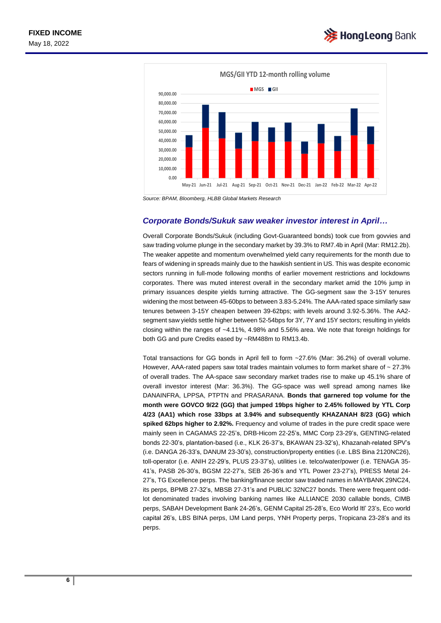



*Source: BPAM, Bloomberg, HLBB Global Markets Research*

#### *Corporate Bonds/Sukuk saw weaker investor interest in April…*

Overall Corporate Bonds/Sukuk (including Govt-Guaranteed bonds) took cue from govvies and saw trading volume plunge in the secondary market by 39.3% to RM7.4b in April (Mar: RM12.2b). The weaker appetite and momentum overwhelmed yield carry requirements for the month due to fears of widening in spreads mainly due to the hawkish sentient in US. This was despite economic sectors running in full-mode following months of earlier movement restrictions and lockdowns corporates. There was muted interest overall in the secondary market amid the 10% jump in primary issuances despite yields turning attractive. The GG-segment saw the 3-15Y tenures widening the most between 45-60bps to between 3.83-5.24%. The AAA-rated space similarly saw tenures between 3-15Y cheapen between 39-62bps; with levels around 3.92-5.36%. The AA2 segment saw yields settle higher between 52-54bps for 3Y, 7Y and 15Y sectors; resulting in yields closing within the ranges of ~4.11%, 4.98% and 5.56% area. We note that foreign holdings for both GG and pure Credits eased by ~RM488m to RM13.4b.

Total transactions for GG bonds in April fell to form ~27.6% (Mar: 36.2%) of overall volume. However, AAA-rated papers saw total trades maintain volumes to form market share of  $\sim$  27.3% of overall trades. The AA-space saw secondary market trades rise to make up 45.1% share of overall investor interest (Mar: 36.3%). The GG-space was well spread among names like DANAINFRA, LPPSA, PTPTN and PRASARANA. **Bonds that garnered top volume for the month were GOVCO 9/22 (GG) that jumped 19bps higher to 2.45% followed by YTL Corp 4/23 (AA1) which rose 33bps at 3.94% and subsequently KHAZANAH 8/23 (GG) which spiked 62bps higher to 2.92%.** Frequency and volume of trades in the pure credit space were mainly seen in CAGAMAS 22-25's, DRB-Hicom 22-25's, MMC Corp 23-29's, GENTING-related bonds 22-30's, plantation-based (i.e., KLK 26-37's, BKAWAN 23-32's), Khazanah-related SPV's (i.e. DANGA 26-33's, DANUM 23-30's), construction/property entities (i.e. LBS Bina 2120NC26), toll-operator (i.e. ANIH 22-29's, PLUS 23-37's), utilities i.e. telco/water/power (i.e. TENAGA 35- 41's, PASB 26-30's, BGSM 22-27's, SEB 26-36's and YTL Power 23-27's), PRESS Metal 24- 27's, TG Excellence perps. The banking/finance sector saw traded names in MAYBANK 29NC24, its perps, BPMB 27-32's, MBSB 27-31's and PUBLIC 32NC27 bonds. There were frequent oddlot denominated trades involving banking names like ALLIANCE 2030 callable bonds, CIMB perps, SABAH Development Bank 24-26's, GENM Capital 25-28's, Eco World Itl' 23's, Eco world capital 26's, LBS BINA perps, IJM Land perps, YNH Property perps, Tropicana 23-28's and its perps.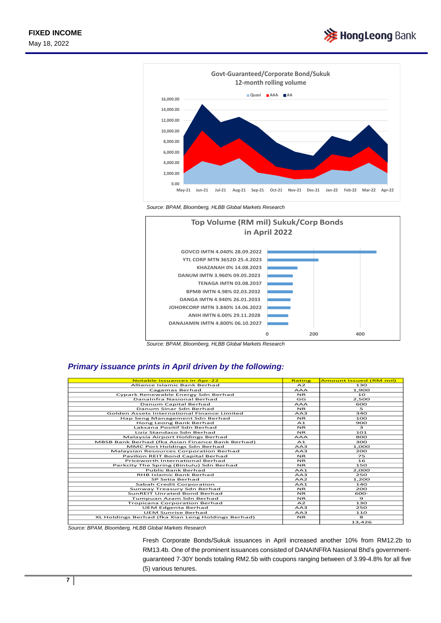



*Source: BPAM, Bloomberg, HLBB Global Markets Research*



*Source: BPAM, Bloomberg, HLBB Global Markets Research* 

## *Primary issuance prints in April driven by the following:*

| <b>Notable issuances in Apr-22</b>                 | Rating     | <b>Amount Issued (RM mil)</b> |
|----------------------------------------------------|------------|-------------------------------|
| Alliance Islamic Bank Berhad                       | A2         | 130                           |
| Cagamas Berhad                                     | <b>AAA</b> | 1,900                         |
| Cypark Renewable Energy Sdn Berhad                 | <b>NR</b>  | 10                            |
| DanaInfra Nasional Berhad                          | GG         |                               |
|                                                    |            | 2,500                         |
| Danum Capital Berhad                               | <b>AAA</b> | 600                           |
| Danum Sinar Sdn Berhad                             | <b>NR</b>  | 5                             |
| Golden Assets International Finance Limited        | AA3        | 340                           |
| Hap Seng Management Sdn Berhad                     | <b>NR</b>  | 100                           |
| Hong Leong Bank Berhad                             | A1         | 900                           |
| Laksana Positif Sdn Berhad                         | <b>NR</b>  | 3                             |
| Liziz Standaco Sdn Berhad                          | <b>NR</b>  | 101                           |
| Malaysia Airport Holdings Berhad                   | <b>AAA</b> | 800                           |
| MBSB Bank Berhad (fka Asian Finance Bank Berhad)   | A1         | 300                           |
| MMC Port Holdings Sdn Berhad                       | AA3        | 1,000                         |
| <b>Malaysian Resources Corporation Berhad</b>      | AA3        | 200                           |
| Pavilion REIT Bond Capital Berhad                  | <b>NR</b>  | 75                            |
| Priceworth International Berhad                    | <b>NR</b>  | 16                            |
| Parkcity The Spring (Bintulu) Sdn Berhad           | <b>NR</b>  | 150                           |
| <b>Public Bank Berhad</b>                          | AA1        | 2,000                         |
| RHB Islamic Bank Berhad                            | AA3        | 250                           |
| SP Setia Berhad                                    | AA2        | 1,200                         |
| Sabah Credit Corporation                           | AA1        | 140                           |
| Sunway Treasury Sdn Berhad                         | <b>NR</b>  | 200                           |
| SunREIT Unrated Bond Berhad                        | <b>NR</b>  | 600-                          |
| Tumpuan Azam Sdn Berhad                            | <b>NR</b>  | $\mathbf{9}$                  |
| Tropicana Corporation Berhad                       | A2         | 130                           |
| <b>UEM Edgenta Berhad</b>                          | AA3        | 250                           |
| <b>UEM Sunrise Berhad</b>                          | AA3        | 110                           |
| XL Holdings Berhad (fka Xian Leng Holdings Berhad) | <b>NR</b>  | 8                             |
|                                                    |            | 13.426                        |

*Source: BPAM, Bloomberg, HLBB Global Markets Research*

Fresh Corporate Bonds/Sukuk issuances in April increased another 10% from RM12.2b to RM13.4b. One of the prominent issuances consisted of DANAINFRA Nasional Bhd's governmentguaranteed 7-30Y bonds totaling RM2.5b with coupons ranging between of 3.99-4.8% for all five (5) various tenures.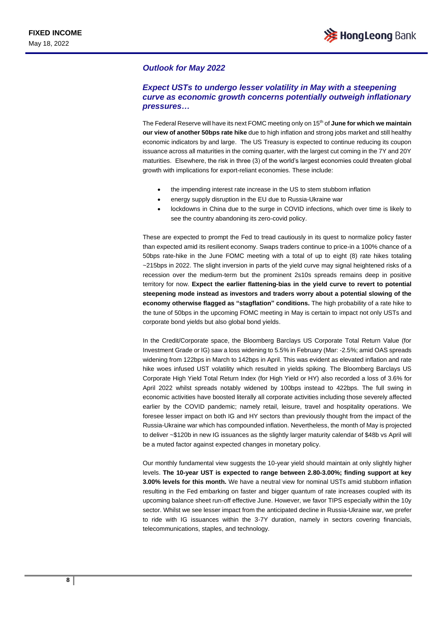#### *Outlook for May 2022*

## *Expect USTs to undergo lesser volatility in May with a steepening curve as economic growth concerns potentially outweigh inflationary pressures…*

The Federal Reserve will have its next FOMC meeting only on 15 th of **June for which we maintain our view of another 50bps rate hike** due to high inflation and strong jobs market and still healthy economic indicators by and large. The US Treasury is expected to continue reducing its coupon issuance across all maturities in the coming quarter, with the largest cut coming in the 7Y and 20Y maturities. Elsewhere, the risk in three (3) of the world's largest economies could threaten global growth with implications for export-reliant economies. These include:

- the impending interest rate increase in the US to stem stubborn inflation
- energy supply disruption in the EU due to Russia-Ukraine war
- lockdowns in China due to the surge in COVID infections, which over time is likely to see the country abandoning its zero-covid policy.

These are expected to prompt the Fed to tread cautiously in its quest to normalize policy faster than expected amid its resilient economy. Swaps traders continue to price-in a 100% chance of a 50bps rate-hike in the June FOMC meeting with a total of up to eight (8) rate hikes totaling ~215bps in 2022. The slight inversion in parts of the yield curve may signal heightened risks of a recession over the medium-term but the prominent 2s10s spreads remains deep in positive territory for now. **Expect the earlier flattening-bias in the yield curve to revert to potential steepening mode instead as investors and traders worry about a potential slowing of the economy otherwise flagged as "stagflation" conditions.** The high probability of a rate hike to the tune of 50bps in the upcoming FOMC meeting in May is certain to impact not only USTs and corporate bond yields but also global bond yields.

In the Credit/Corporate space, the Bloomberg Barclays US Corporate Total Return Value (for Investment Grade or IG) saw a loss widening to 5.5% in February (Mar: -2.5%; amid OAS spreads widening from 122bps in March to 142bps in April. This was evident as elevated inflation and rate hike woes infused UST volatility which resulted in yields spiking. The Bloomberg Barclays US Corporate High Yield Total Return Index (for High Yield or HY) also recorded a loss of 3.6% for April 2022 whilst spreads notably widened by 100bps instead to 422bps. The full swing in economic activities have boosted literally all corporate activities including those severely affected earlier by the COVID pandemic; namely retail, leisure, travel and hospitality operations. We foresee lesser impact on both IG and HY sectors than previously thought from the impact of the Russia-Ukraine war which has compounded inflation. Nevertheless, the month of May is projected to deliver ~\$120b in new IG issuances as the slightly larger maturity calendar of \$48b vs April will be a muted factor against expected changes in monetary policy.

Our monthly fundamental view suggests the 10-year yield should maintain at only slightly higher levels. **The 10-year UST is expected to range between 2.80-3.00%; finding support at key 3.00% levels for this month.** We have a neutral view for nominal USTs amid stubborn inflation resulting in the Fed embarking on faster and bigger quantum of rate increases coupled with its upcoming balance sheet run-off effective June. However, we favor TIPS especially within the 10y sector. Whilst we see lesser impact from the anticipated decline in Russia-Ukraine war, we prefer to ride with IG issuances within the 3-7Y duration, namely in sectors covering financials, telecommunications, staples, and technology.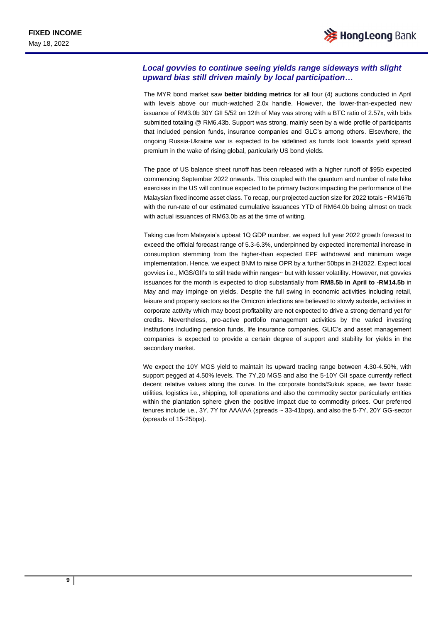## *Local govvies to continue seeing yields range sideways with slight upward bias still driven mainly by local participation…*

The MYR bond market saw **better bidding metrics** for all four (4) auctions conducted in April with levels above our much-watched 2.0x handle. However, the lower-than-expected new issuance of RM3.0b 30Y GII 5/52 on 12th of May was strong with a BTC ratio of 2.57x, with bids submitted totaling @ RM6.43b. Support was strong, mainly seen by a wide profile of participants that included pension funds, insurance companies and GLC's among others. Elsewhere, the ongoing Russia-Ukraine war is expected to be sidelined as funds look towards yield spread premium in the wake of rising global, particularly US bond yields.

The pace of US balance sheet runoff has been released with a higher runoff of \$95b expected commencing September 2022 onwards. This coupled with the quantum and number of rate hike exercises in the US will continue expected to be primary factors impacting the performance of the Malaysian fixed income asset class. To recap, our projected auction size for 2022 totals ~RM167b with the run-rate of our estimated cumulative issuances YTD of RM64.0b being almost on track with actual issuances of RM63.0b as at the time of writing.

Taking cue from Malaysia's upbeat 1Q GDP number, we expect full year 2022 growth forecast to exceed the official forecast range of 5.3-6.3%, underpinned by expected incremental increase in consumption stemming from the higher-than expected EPF withdrawal and minimum wage implementation. Hence, we expect BNM to raise OPR by a further 50bps in 2H2022. Expect local govvies i.e., MGS/GII's to still trade within ranges~ but with lesser volatility. However, net govvies issuances for the month is expected to drop substantially from **RM8.5b in April to -RM14.5b** in May and may impinge on yields. Despite the full swing in economic activities including retail, leisure and property sectors as the Omicron infections are believed to slowly subside, activities in corporate activity which may boost profitability are not expected to drive a strong demand yet for credits. Nevertheless, pro-active portfolio management activities by the varied investing institutions including pension funds, life insurance companies, GLIC's and asset management companies is expected to provide a certain degree of support and stability for yields in the secondary market.

We expect the 10Y MGS yield to maintain its upward trading range between 4.30-4.50%, with support pegged at 4.50% levels. The 7Y,20 MGS and also the 5-10Y GII space currently reflect decent relative values along the curve. In the corporate bonds/Sukuk space, we favor basic utilities, logistics i.e., shipping, toll operations and also the commodity sector particularly entities within the plantation sphere given the positive impact due to commodity prices. Our preferred tenures include i.e., 3Y, 7Y for AAA/AA (spreads ~ 33-41bps), and also the 5-7Y, 20Y GG-sector (spreads of 15-25bps).